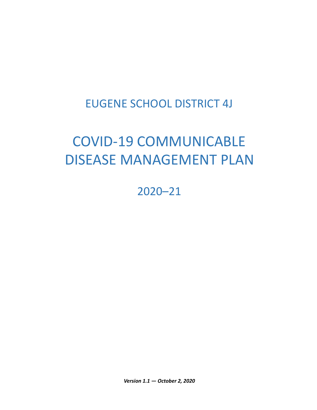## EUGENE SCHOOL DISTRICT 4J

# COVID-19 COMMUNICABLE DISEASE MANAGEMENT PLAN

2020–21

*Version 1.1 — October 2, 2020*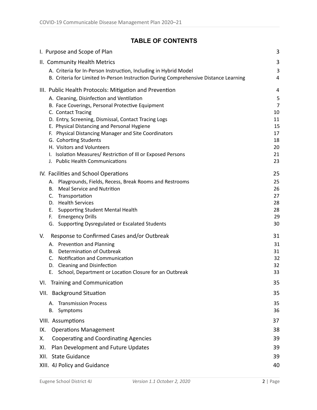## **TABLE OF CONTENTS**

| I. Purpose and Scope of Plan                                                                   | 3              |
|------------------------------------------------------------------------------------------------|----------------|
| II. Community Health Metrics                                                                   | 3              |
| A. Criteria for In-Person Instruction, Including in Hybrid Model                               | 3              |
| B. Criteria for Limited In-Person Instruction During Comprehensive Distance Learning           | 4              |
| III. Public Health Protocols: Mitigation and Prevention                                        | $\overline{4}$ |
| A. Cleaning, Disinfection and Ventilation                                                      | 5              |
| B. Face Coverings, Personal Protective Equipment                                               | 7              |
| C. Contact Tracing<br>D. Entry, Screening, Dismissal, Contact Tracing Logs                     | 10<br>11       |
| E. Physical Distancing and Personal Hygiene                                                    | 15             |
| F. Physical Distancing Manager and Site Coordinators                                           | 17             |
| G. Cohorting Students                                                                          | 18             |
| H. Visitors and Volunteers                                                                     | 20             |
| I. Isolation Measures/Restriction of Ill or Exposed Persons<br>J. Public Health Communications | 21<br>23       |
|                                                                                                |                |
| IV. Facilities and School Operations                                                           | 25             |
| Playgrounds, Fields, Recess, Break Rooms and Restrooms<br>А.                                   | 25             |
| <b>Meal Service and Nutrition</b><br>В.<br>Transportation<br>C.                                | 26<br>27       |
| D. Health Services                                                                             | 28             |
| <b>Supporting Student Mental Health</b><br>Е.                                                  | 28             |
| <b>Emergency Drills</b><br>F.                                                                  | 29             |
| G. Supporting Dysregulated or Escalated Students                                               | 30             |
| Response to Confirmed Cases and/or Outbreak<br>V.                                              | 31             |
| A. Prevention and Planning                                                                     | 31             |
| Determination of Outbreak<br>В.<br>Notification and Communication<br>C.                        | 31<br>32       |
| <b>Cleaning and Disinfection</b><br>D.                                                         | 32             |
| School, Department or Location Closure for an Outbreak<br>Е.                                   | 33             |
| VI. Training and Communication                                                                 | 35             |
| VII. Background Situation                                                                      | 35             |
| <b>Transmission Process</b><br>А.                                                              | 35             |
| Symptoms<br>В.                                                                                 | 36             |
| VIII. Assumptions                                                                              | 37             |
| <b>Operations Management</b><br>IX.                                                            | 38             |
| <b>Cooperating and Coordinating Agencies</b><br>Х.                                             | 39             |
| Plan Development and Future Updates<br>XI.                                                     | 39             |
| <b>State Guidance</b><br>XII.                                                                  | 39             |
| XIII. 4J Policy and Guidance                                                                   | 40             |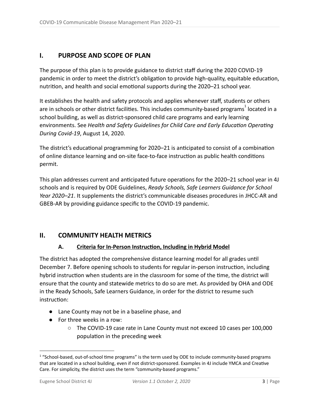## <span id="page-2-0"></span>**I. PURPOSE AND SCOPE OF PLAN**

The purpose of this plan is to provide guidance to district staff during the 2020 COVID-19 pandemic in order to meet the district's obligation to provide high-quality, equitable education, nutrition, and health and social emotional supports during the 2020-21 school year.

It establishes the health and safety protocols and applies whenever staff, students or others are in schools or other district facilities. This includes community-based programs $^{\rm 1}$  located in a school building, as well as district-sponsored child care programs and early learning environments. See Health and Safety Guidelines for Child Care and Early Education Operating *During Covid-19* , August 14, 2020.

The district's educational programming for 2020–21 is anticipated to consist of a combination of online distance learning and on-site face-to-face instruction as public health conditions permit.

This plan addresses current and anticipated future operations for the 2020–21 school year in 4J schools and is required by ODE Guidelines, *Ready Schools, Safe Learners Guidance for School Year 2020–21* . It supplements the district's communicable diseases procedures in JHCC-AR and GBEB-AR by providing guidance specific to the COVID-19 pandemic.

## **II. COMMUNITY HEALTH METRICS**

#### A. Criteria for In-Person Instruction, Including in Hybrid Model

The district has adopted the comprehensive distance learning model for all grades until December 7. Before opening schools to students for regular in-person instruction, including hybrid instruction when students are in the classroom for some of the time, the district will ensure that the county and statewide metrics to do so are met. As provided by OHA and ODE in the Ready Schools, Safe Learners Guidance, in order for the district to resume such instruction:

- Lane County may not be in a baseline phase, and
- For three weeks in a row:
	- The COVID-19 case rate in Lane County must not exceed 10 cases per 100,000 population in the preceding week

<sup>&</sup>lt;sup>1</sup> "School-based, out-of-school time programs" is the term used by ODE to include community-based programs that are located in a school building, even if not district-sponsored. Examples in 4J include YMCA and Creative Care. For simplicity, the district uses the term "community-based programs."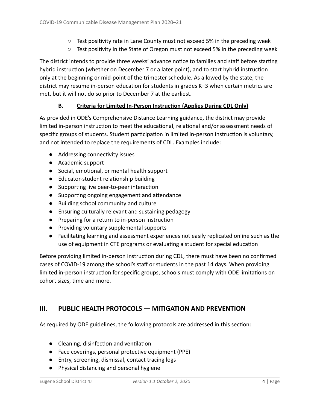- $\circ$  Test positivity rate in Lane County must not exceed 5% in the preceding week
- $\circ$  Test positivity in the State of Oregon must not exceed 5% in the preceding week

The district intends to provide three weeks' advance notice to families and staff before starting hybrid instruction (whether on December 7 or a later point), and to start hybrid instruction only at the beginning or mid-point of the trimester schedule. As allowed by the state, the district may resume in-person education for students in grades K-3 when certain metrics are met, but it will not do so prior to December 7 at the earliest.

#### **B.** Criteria for Limited In-Person Instruction (Applies During CDL Only)

As provided in ODE's Comprehensive Distance Learning guidance, the district may provide limited in-person instruction to meet the educational, relational and/or assessment needs of specific groups of students. Student participation in limited in-person instruction is voluntary, and not intended to replace the requirements of CDL. Examples include:

- Addressing connectivity issues
- Academic support
- Social, emotional, or mental health support
- Educator-student relationship building
- $\bullet$  Supporting live peer-to-peer interaction
- $\bullet$  Supporting ongoing engagement and attendance
- Building school community and culture
- Ensuring culturally relevant and sustaining pedagogy
- Preparing for a return to in-person instruction
- Providing voluntary supplemental supports
- Facilitating learning and assessment experiences not easily replicated online such as the use of equipment in CTE programs or evaluating a student for special education

Before providing limited in-person instruction during CDL, there must have been no confirmed cases of COVID-19 among the school's staff or students in the past 14 days. When providing limited in-person instruction for specific groups, schools must comply with ODE limitations on cohort sizes, time and more.

## **III. PUBLIC HEALTH PROTOCOLS — MITIGATION AND PREVENTION**

As required by ODE guidelines, the following protocols are addressed in this section:

- $\bullet$  Cleaning, disinfection and ventilation
- Face coverings, personal protective equipment (PPE)
- Entry, screening, dismissal, contact tracing logs
- Physical distancing and personal hygiene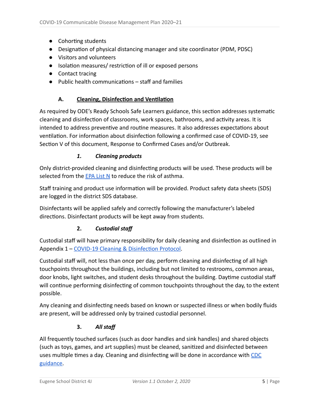- Cohorting students
- Designation of physical distancing manager and site coordinator (PDM, PDSC)
- Visitors and volunteers
- Isolation measures/ restriction of ill or exposed persons
- Contact tracing
- $\bullet$  Public health communications  $-$  staff and families

#### A. Cleaning, Disinfection and Ventilation

As required by ODE's Ready Schools Safe Learners guidance, this section addresses systematic cleaning and disinfection of classrooms, work spaces, bathrooms, and activity areas. It is intended to address preventive and routine measures. It also addresses expectations about ventilation. For information about disinfection following a confirmed case of COVID-19, see Section V of this document, Response to Confirmed Cases and/or Outbreak.

#### *1. Cleaning products*

Only district-provided cleaning and disinfecting products will be used. These products will be selected from the EPA List N to reduce the risk of asthma.

Staff training and product use information will be provided. Product safety data sheets (SDS) are logged in the district SDS database.

Disinfectants will be applied safely and correctly following the manufacturer's labeled directions. Disinfectant products will be kept away from students.

#### **2.** *Custodial staff*

Custodial staff will have primary responsibility for daily cleaning and disinfection as outlined in Appendix 1 – COVID-19 Cleaning & Disinfection Protocol.

Custodial staff will, not less than once per day, perform cleaning and disinfecting of all high touchpoints throughout the buildings, including but not limited to restrooms, common areas, door knobs, light switches, and student desks throughout the building. Daytime custodial staff will continue performing disinfecting of common touchpoints throughout the day, to the extent possible.

Any cleaning and disinfecting needs based on known or suspected illness or when bodily fluids are present, will be addressed only by trained custodial personnel.

#### **3.** *All staff*

All frequently touched surfaces (such as door handles and sink handles) and shared objects (such as toys, games, and art supplies) must be cleaned, sanitized and disinfected between uses multiple times a day. Cleaning and disinfecting will be done in accordance with CDC guidance .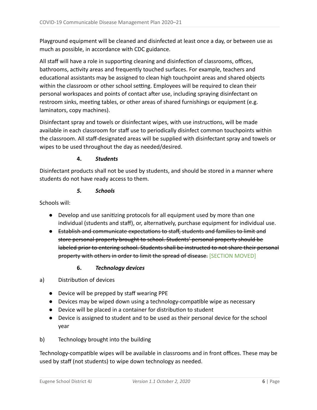Playground equipment will be cleaned and disinfected at least once a day, or between use as much as possible, in accordance with CDC guidance.

All staff will have a role in supporting cleaning and disinfection of classrooms, offices, bathrooms, activity areas and frequently touched surfaces. For example, teachers and educational assistants may be assigned to clean high touchpoint areas and shared objects within the classroom or other school setting. Employees will be required to clean their personal workspaces and points of contact after use, including spraying disinfectant on restroom sinks, meeting tables, or other areas of shared furnishings or equipment (e.g. laminators, copy machines).

Disinfectant spray and towels or disinfectant wipes, with use instructions, will be made available in each classroom for staff use to periodically disinfect common touchpoints within the classroom. All staff-designated areas will be supplied with disinfectant spray and towels or wipes to be used throughout the day as needed/desired.

#### **4.** *Students*

Disinfectant products shall not be used by students, and should be stored in a manner where students do not have ready access to them.

#### *5. Schools*

Schools will:

- Develop and use sanitizing protocols for all equipment used by more than one individual (students and staff), or, alternatively, purchase equipment for individual use.
- Establish and communicate expectations to staff, students and families to limit and store personal property brought to school. Students' personal property should be labeled prior to entering school. Students shall be instructed to not share their personal property with others in order to limit the spread of disease. [SECTION MOVED]

#### **6.** *Technology devices*

- a) Distribution of devices
	- Device will be prepped by staff wearing PPE
	- Devices may be wiped down using a technology-compatible wipe as necessary
	- Device will be placed in a container for distribution to student
	- Device is assigned to student and to be used as their personal device for the school year
- b) Technology brought into the building

Technology-compatible wipes will be available in classrooms and in front offices. These may be used by staff (not students) to wipe down technology as needed.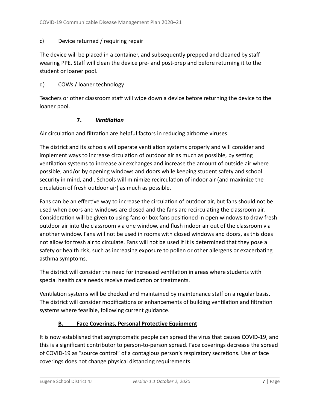#### c) Device returned / requiring repair

The device will be placed in a container, and subsequently prepped and cleaned by staff wearing PPE. Staff will clean the device pre- and post-prep and before returning it to the student or loaner pool.

#### d) COWs / loaner technology

Teachers or other classroom staff will wipe down a device before returning the device to the loaner pool.

#### **7.** *<u>Ventilation</u>*

Air circulation and filtration are helpful factors in reducing airborne viruses.

The district and its schools will operate ventilation systems properly and will consider and implement ways to increase circulation of outdoor air as much as possible, by setting ventilation systems to increase air exchanges and increase the amount of outside air where possible, and/or by opening windows and doors while keeping student safety and school security in mind, and . Schools will minimize recirculation of indoor air (and maximize the circulation of fresh outdoor air) as much as possible.

Fans can be an effective way to increase the circulation of outdoor air, but fans should not be used when doors and windows are closed and the fans are recirculating the classroom air. Consideration will be given to using fans or box fans positioned in open windows to draw fresh outdoor air into the classroom via one window, and flush indoor air out of the classroom via another window. Fans will not be used in rooms with closed windows and doors, as this does not allow for fresh air to circulate. Fans will not be used if it is determined that they pose a safety or health risk, such as increasing exposure to pollen or other allergens or exacerbating asthma symptoms.

The district will consider the need for increased ventilation in areas where students with special health care needs receive medication or treatments.

Ventilation systems will be checked and maintained by maintenance staff on a regular basis. The district will consider modifications or enhancements of building ventilation and filtration systems where feasible, following current guidance.

#### **B.** Face Coverings, Personal Protective Equipment

It is now established that asymptomatic people can spread the virus that causes COVID-19, and this is a significant contributor to person-to-person spread. Face coverings decrease the spread of COVID-19 as "source control" of a contagious person's respiratory secretions. Use of face coverings does not change physical distancing requirements.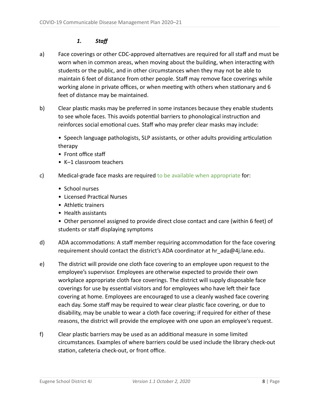## *1. Staff*

- a) Face coverings or other CDC-approved alternatives are required for all staff and must be worn when in common areas, when moving about the building, when interacting with students or the public, and in other circumstances when they may not be able to maintain 6 feet of distance from other people. Staff may remove face coverings while working alone in private offices, or when meeting with others when stationary and 6 feet of distance may be maintained.
- b) Clear plastic masks may be preferred in some instances because they enable students to see whole faces. This avoids potential barriers to phonological instruction and reinforces social emotional cues. Staff who may prefer clear masks may include:

• Speech language pathologists, SLP assistants, or other adults providing articulation therapy

- Front office staff
- K–1 classroom teachers
- c) Medical-grade face masks are required to be available when appropriate for:
	- School nurses
	- Licensed Practical Nurses
	- Athletic trainers
	- •Health assistants

• Other personnel assigned to provide direct close contact and care (within 6 feet) of students or staff displaying symptoms

- d) ADA accommodations: A staff member requiring accommodation for the face covering requirement should contact the district's ADA coordinator at hr\_ada@4j.lane.edu.
- e) The district will provide one cloth face covering to an employee upon request to the employee's supervisor. Employees are otherwise expected to provide their own workplace appropriate cloth face coverings. The district will supply disposable face coverings for use by essential visitors and for employees who have left their face covering at home. Employees are encouraged to use a cleanly washed face covering each day. Some staff may be required to wear clear plastic face covering, or due to disability, may be unable to wear a cloth face covering; if required for either of these reasons, the district will provide the employee with one upon an employee's request.
- f) Clear plastic barriers may be used as an additional measure in some limited circumstances. Examples of where barriers could be used include the library check-out station, cafeteria check-out, or front office.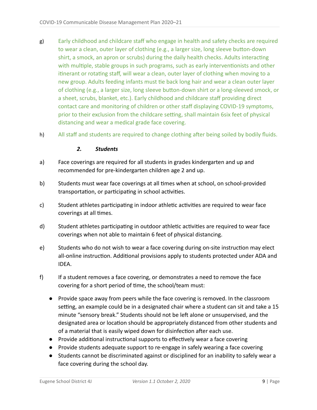- g) Early childhood and childcare staff who engage in health and safety checks are required to wear a clean, outer layer of clothing (e.g., a larger size, long sleeve button-down shirt, a smock, an apron or scrubs) during the daily health checks. Adults interacting with multiple, stable groups in such programs, such as early interventionists and other itinerant or rotating staff, will wear a clean, outer layer of clothing when moving to a new group. Adults feeding infants must tie back long hair and wear a clean outer layer of clothing (e.g., a larger size, long sleeve button-down shirt or a long-sleeved smock, or a sheet, scrubs, blanket, etc.). Early childhood and childcare staff providing direct contact care and monitoring of children or other staff displaying COVID-19 symptoms, prior to their exclusion from the childcare setting, shall maintain 6six feet of physical distancing and wear a medical grade face covering.
- h) All staff and students are required to change clothing after being soiled by bodily fluids.

#### *2. Students*

- a) Face coverings are required for all students in grades kindergarten and up and recommended for pre-kindergarten children age 2 and up.
- b) Students must wear face coverings at all times when at school, on school-provided transportation, or participating in school activities.
- c) Student athletes participating in indoor athletic activities are required to wear face coverings at all times.
- d) Student athletes participating in outdoor athletic activities are required to wear face coverings when not able to maintain 6 feet of physical distancing.
- e) Students who do not wish to wear a face covering during on-site instruction may elect all-online instruction. Additional provisions apply to students protected under ADA and IDEA.
- f) If a student removes a face covering, or demonstrates a need to remove the face covering for a short period of time, the school/team must:
	- Provide space away from peers while the face covering is removed. In the classroom setting, an example could be in a designated chair where a student can sit and take a 15 minute "sensory break." Students should not be left alone or unsupervised, and the designated area or location should be appropriately distanced from other students and of a material that is easily wiped down for disinfection after each use.
	- $\bullet$  Provide additional instructional supports to effectively wear a face covering
	- Provide students adequate support to re-engage in safely wearing a face covering
	- Students cannot be discriminated against or disciplined for an inability to safely wear a face covering during the school day.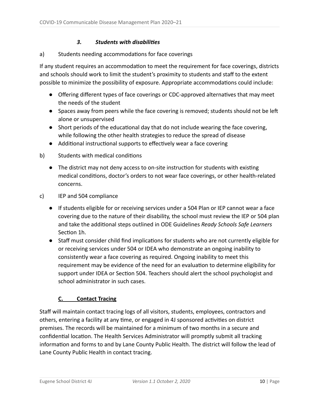#### *3. Students with disabilies*

#### a) Students needing accommodations for face coverings

If any student requires an accommodation to meet the requirement for face coverings, districts and schools should work to limit the student's proximity to students and staff to the extent possible to minimize the possibility of exposure. Appropriate accommodations could include:

- Offering different types of face coverings or CDC-approved alternatives that may meet the needs of the student
- Spaces away from peers while the face covering is removed; students should not be left alone or unsupervised
- $\bullet$  Short periods of the educational day that do not include wearing the face covering, while following the other health strategies to reduce the spread of disease
- Additional instructional supports to effectively wear a face covering
- b) Students with medical conditions
	- The district may not deny access to on-site instruction for students with existing medical conditions, doctor's orders to not wear face coverings, or other health-related concerns.
- c) IEP and 504 compliance
	- If students eligible for or receiving services under a 504 Plan or IEP cannot wear a face covering due to the nature of their disability, the school must review the IEP or 504 plan and take the additional steps outlined in ODE Guidelines *Ready Schools Safe Learners* Section 1h.
	- Staff must consider child find implications for students who are not currently eligible for or receiving services under 504 or IDEA who demonstrate an ongoing inability to consistently wear a face covering as required. Ongoing inability to meet this requirement may be evidence of the need for an evaluation to determine eligibility for support under IDEA or Section 504. Teachers should alert the school psychologist and school administrator in such cases.

#### **C. Contact Tracing**

Staff will maintain contact tracing logs of all visitors, students, employees, contractors and others, entering a facility at any time, or engaged in 4J sponsored activities on district premises. The records will be maintained for a minimum of two months in a secure and confidential location. The Health Services Administrator will promptly submit all tracking information and forms to and by Lane County Public Health. The district will follow the lead of Lane County Public Health in contact tracing.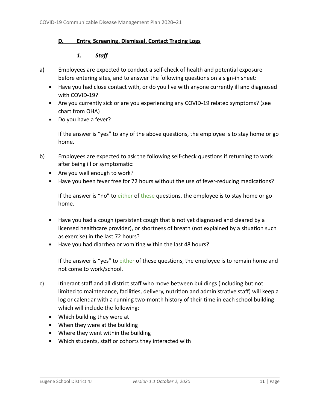#### **D. Entry, Screening, Dismissal, Contact Tracing Logs**

#### *1. Staff*

- a) Employees are expected to conduct a self-check of health and potential exposure before entering sites, and to answer the following questions on a sign-in sheet:
	- Have you had close contact with, or do you live with anyone currently ill and diagnosed with COVID-19?
	- Are you currently sick or are you experiencing any COVID-19 related symptoms? (see chart from OHA)
	- Do you have a fever?

If the answer is "yes" to any of the above questions, the employee is to stay home or go home.

- b) Employees are expected to ask the following self-check questions if returning to work after being ill or symptomatic:
	- Are you well enough to work?
	- Have you been fever free for 72 hours without the use of fever-reducing medications?

If the answer is "no" to either of these questions, the employee is to stay home or go home.

- Have you had a cough (persistent cough that is not yet diagnosed and cleared by a licensed healthcare provider), or shortness of breath (not explained by a situation such as exercise) in the last 72 hours?
- Have you had diarrhea or vomiting within the last 48 hours?

If the answer is "yes" to either of these questions, the employee is to remain home and not come to work/school.

- c) Itinerant staff and all district staff who move between buildings (including but not limited to maintenance, facilities, delivery, nutrition and administrative staff) will keep a log or calendar with a running two-month history of their time in each school building which will include the following:
	- Which building they were at
	- When they were at the building
	- Where they went within the building
	- Which students, staff or cohorts they interacted with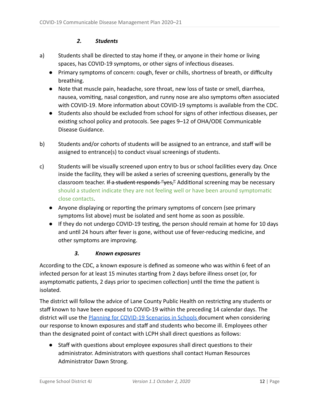#### *2. Students*

- a) Students shall be directed to stay home if they, or anyone in their home or living spaces, has COVID-19 symptoms, or other signs of infectious diseases.
	- Primary symptoms of concern: cough, fever or chills, shortness of breath, or difficulty breathing.
	- Note that muscle pain, headache, sore throat, new loss of taste or smell, diarrhea, nausea, vomiting, nasal congestion, and runny nose are also symptoms often associated with COVID-19. More information about COVID-19 symptoms is available from the CDC.
	- Students also should be excluded from school for signs of other infectious diseases, per existing school policy and protocols. See pages 9–12 of OHA/ODE Communicable Disease Guidance.
- b) Students and/or cohorts of students will be assigned to an entrance, and staff will be assigned to entrance(s) to conduct visual screenings of students.
- c) Students will be visually screened upon entry to bus or school facilities every day. Once inside the facility, they will be asked a series of screening questions, generally by the classroom teacher. If a student responds "yes," Additional screening may be necessary should a student indicate they are not feeling well or have been around symptomatic close contacts .
	- Anyone displaying or reporting the primary symptoms of concern (see primary symptoms list above) must be isolated and sent home as soon as possible.
	- If they do not undergo COVID-19 testing, the person should remain at home for 10 days and until 24 hours after fever is gone, without use of fever-reducing medicine, and other symptoms are improving.

#### *3. Known exposures*

According to the CDC, a known exposure is defined as someone who was within 6 feet of an infected person for at least 15 minutes starting from 2 days before illness onset (or, for asymptomatic patients, 2 days prior to specimen collection) until the time the patient is isolated.

The district will follow the advice of Lane County Public Health on restricting any students or staff known to have been exposed to COVID-19 within the preceding 14 calendar days. The district will use the Planning for COVID-19 Scenarios in Schools document when considering our response to known exposures and staff and students who become ill. Employees other than the designated point of contact with LCPH shall direct questions as follows:

• Staff with questions about employee exposures shall direct questions to their administrator. Administrators with questions shall contact Human Resources Administrator Dawn Strong.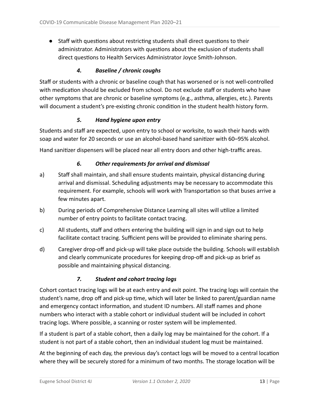$\bullet$  Staff with questions about restricting students shall direct questions to their administrator. Administrators with questions about the exclusion of students shall direct questions to Health Services Administrator Joyce Smith-Johnson.

#### *4. Baseline / chronic coughs*

Staff or students with a chronic or baseline cough that has worsened or is not well-controlled with medication should be excluded from school. Do not exclude staff or students who have other symptoms that are chronic or baseline symptoms (e.g., asthma, allergies, etc.). Parents will document a student's pre-existing chronic condition in the student health history form.

#### *5. Hand hygiene upon entry*

Students and staff are expected, upon entry to school or worksite, to wash their hands with soap and water for 20 seconds or use an alcohol-based hand sanitizer with 60–95% alcohol.

Hand sanitizer dispensers will be placed near all entry doors and other high-traffic areas.

#### *6. Other requirements for arrival and dismissal*

- a) Staff shall maintain, and shall ensure students maintain, physical distancing during arrival and dismissal. Scheduling adjustments may be necessary to accommodate this requirement. For example, schools will work with Transportation so that buses arrive a few minutes apart.
- b) During periods of Comprehensive Distance Learning all sites will utilize a limited number of entry points to facilitate contact tracing.
- c) All students, staff and others entering the building will sign in and sign out to help facilitate contact tracing. Sufficient pens will be provided to eliminate sharing pens.
- d) Caregiver drop-off and pick-up will take place outside the building. Schools will establish and clearly communicate procedures for keeping drop-off and pick-up as brief as possible and maintaining physical distancing.

#### *7. Student and cohort tracing logs*

Cohort contact tracing logs will be at each entry and exit point. The tracing logs will contain the student's name, drop off and pick-up time, which will later be linked to parent/guardian name and emergency contact information, and student ID numbers. All staff names and phone numbers who interact with a stable cohort or individual student will be included in cohort tracing logs. Where possible, a scanning or roster system will be implemented.

If a student is part of a stable cohort, then a daily log may be maintained for the cohort. If a student is not part of a stable cohort, then an individual student log must be maintained.

At the beginning of each day, the previous day's contact logs will be moved to a central location where they will be securely stored for a minimum of two months. The storage location will be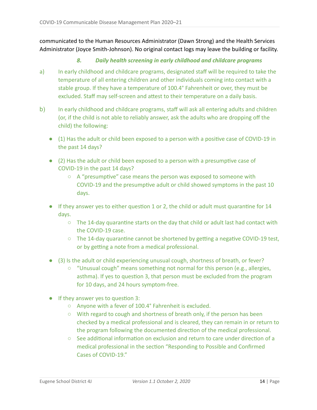communicated to the Human Resources Administrator (Dawn Strong) and the Health Services Administrator (Joyce Smith-Johnson). No original contact logs may leave the building or facility.

#### *8. Daily health screening in early childhood and childcare programs*

- a) In early childhood and childcare programs, designated staff will be required to take the temperature of all entering children and other individuals coming into contact with a stable group. If they have a temperature of 100.4° Fahrenheit or over, they must be excluded. Staff may self-screen and attest to their temperature on a daily basis.
- b) In early childhood and childcare programs, staff will ask all entering adults and children (or, if the child is not able to reliably answer, ask the adults who are dropping off the child) the following:
	- $\bullet$  (1) Has the adult or child been exposed to a person with a positive case of COVID-19 in the past 14 days?
	- $\bullet$  (2) Has the adult or child been exposed to a person with a presumptive case of COVID-19 in the past 14 days?
		- $\circ$  A "presumptive" case means the person was exposed to someone with COVID-19 and the presumptive adult or child showed symptoms in the past 10 days.
	- $\bullet$  If they answer yes to either question 1 or 2, the child or adult must quarantine for 14 days.
		- $\circ$  The 14-day quarantine starts on the day that child or adult last had contact with the COVID-19 case.
		- The 14-day quarantine cannot be shortened by getting a negative COVID-19 test, or by getting a note from a medical professional.
	- (3) Is the adult or child experiencing unusual cough, shortness of breath, or fever?
		- "Unusual cough" means something not normal for this person (e.g., allergies, asthma). If yes to question 3, that person must be excluded from the program for 10 days, and 24 hours symptom-free.
	- $\bullet$  If they answer yes to question 3:
		- Anyone with a fever of 100.4° Fahrenheit is excluded.
		- With regard to cough and shortness of breath only, if the person has been checked by a medical professional and is cleared, they can remain in or return to the program following the documented direction of the medical professional.
		- $\circ$  See additional information on exclusion and return to care under direction of a medical professional in the section "Responding to Possible and Confirmed Cases of COVID-19."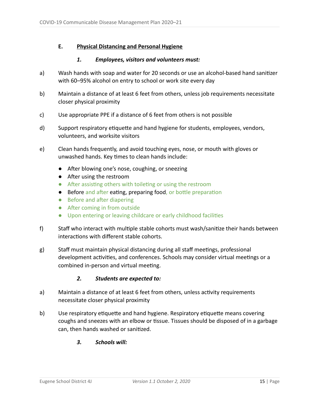#### **E. Physical Distancing and Personal Hygiene**

#### *1. Employees, visitors and volunteers must:*

- a) Wash hands with soap and water for 20 seconds or use an alcohol-based hand sanitizer with 60–95% alcohol on entry to school or work site every day
- b) Maintain a distance of at least 6 feet from others, unless job requirements necessitate closer physical proximity
- c) Use appropriate PPE if a distance of 6 feet from others is not possible
- d) Support respiratory etiquette and hand hygiene for students, employees, vendors, volunteers, and worksite visitors
- e) Clean hands frequently, and avoid touching eyes, nose, or mouth with gloves or unwashed hands. Key times to clean hands include:
	- After blowing one's nose, coughing, or sneezing
	- After using the restroom
	- After assisting others with toileting or using the restroom
	- Before and after eating, preparing food, or bottle preparation
	- Before and after diapering
	- After coming in from outside
	- Upon entering or leaving childcare or early childhood facilies
- f) Staff who interact with multiple stable cohorts must wash/sanitize their hands between interactions with different stable cohorts.
- g) Staff must maintain physical distancing during all staff meetings, professional development activities, and conferences. Schools may consider virtual meetings or a combined in-person and virtual meeting.

#### *2. Students are expected to:*

- a) Maintain a distance of at least 6 feet from others, unless activity requirements necessitate closer physical proximity
- b) Use respiratory etiquette and hand hygiene. Respiratory etiquette means covering coughs and sneezes with an elbow or tissue. Tissues should be disposed of in a garbage can, then hands washed or sanitized.
	- *3. Schools will:*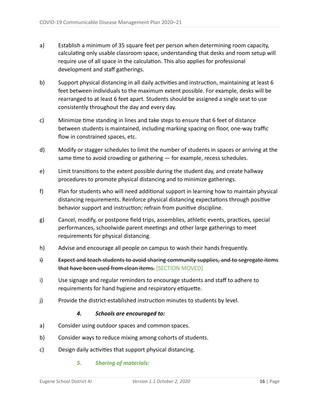- a) Establish a minimum of 35 square feet per person when determining room capacity, calculating only usable classroom space, understanding that desks and room setup will require use of all space in the calculation. This also applies for professional development and staff gatherings.
- b) Support physical distancing in all daily activities and instruction, maintaining at least 6 feet between individuals to the maximum extent possible. For example, desks will be rearranged to at least 6 feet apart. Students should be assigned a single seat to use consistently throughout the day and every day.
- c) Minimize time standing in lines and take steps to ensure that 6 feet of distance between students is maintained, including marking spacing on floor, one-way traffic flow in constrained spaces, etc.
- d) Modify or stagger schedules to limit the number of students in spaces or arriving at the same time to avoid crowding or gathering  $-$  for example, recess schedules.
- e) Limit transitions to the extent possible during the student day, and create hallway procedures to promote physical distancing and to minimize gatherings.
- f) Plan for students who will need additional support in learning how to maintain physical distancing requirements. Reinforce physical distancing expectations through positive behavior support and instruction; refrain from punitive discipline.
- g) Cancel, modify, or postpone field trips, assemblies, athletic events, practices, special performances, schoolwide parent meetings and other large gatherings to meet requirements for physical distancing.
- h) Advise and encourage all people on campus to wash their hands frequently.
- i) Expect and teach students to avoid sharing community supplies, and to segregate items that have been used from clean items. [SECTION MOVED]
- i) Use signage and regular reminders to encourage students and staff to adhere to requirements for hand hygiene and respiratory etiquette.
- j) Provide the district-established instruction minutes to students by level.

#### *4. Schools are encouraged to:*

- a) Consider using outdoor spaces and common spaces.
- b) Consider ways to reduce mixing among cohorts of students.
- c) Design daily activities that support physical distancing.

#### *5. Sharing of materials:*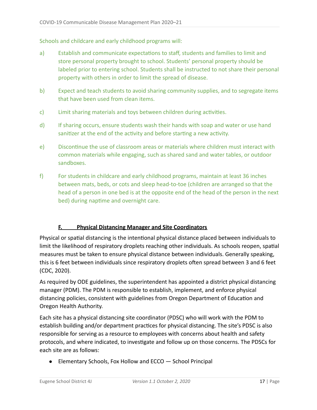Schools and childcare and early childhood programs will:

- a) Establish and communicate expectations to staff, students and families to limit and store personal property brought to school. Students' personal property should be labeled prior to entering school. Students shall be instructed to not share their personal property with others in order to limit the spread of disease.
- b) Expect and teach students to avoid sharing community supplies, and to segregate items that have been used from clean items.
- c) Limit sharing materials and toys between children during activities.
- d) If sharing occurs, ensure students wash their hands with soap and water or use hand sanitizer at the end of the activity and before starting a new activity.
- e) Discontinue the use of classroom areas or materials where children must interact with common materials while engaging, such as shared sand and water tables, or outdoor sandboxes.
- f) For students in childcare and early childhood programs, maintain at least 36 inches between mats, beds, or cots and sleep head-to-toe (children are arranged so that the head of a person in one bed is at the opposite end of the head of the person in the next bed) during naptime and overnight care.

#### **F. Physical Distancing Manager and Site Coordinators**

Physical or spatial distancing is the intentional physical distance placed between individuals to limit the likelihood of respiratory droplets reaching other individuals. As schools reopen, spatial measures must be taken to ensure physical distance between individuals. Generally speaking, this is 6 feet between individuals since respiratory droplets often spread between 3 and 6 feet (CDC, 2020).

As required by ODE guidelines, the superintendent has appointed a district physical distancing manager (PDM). The PDM is responsible to establish, implement, and enforce physical distancing policies, consistent with guidelines from Oregon Department of Education and Oregon Health Authority.

Each site has a physical distancing site coordinator (PDSC) who will work with the PDM to establish building and/or department practices for physical distancing. The site's PDSC is also responsible for serving as a resource to employees with concerns about health and safety protocols, and where indicated, to investigate and follow up on those concerns. The PDSCs for each site are as follows:

● Elementary Schools, Fox Hollow and ECCO – School Principal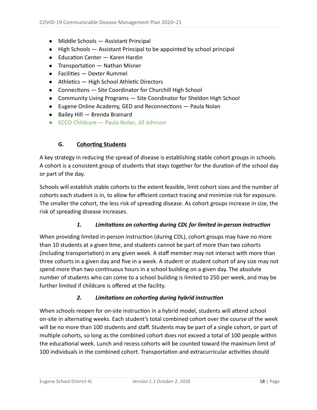- Middle Schools Assistant Principal
- $\bullet$  High Schools  $-$  Assistant Principal to be appointed by school principal
- $\bullet$  Education Center  $-$  Karen Hardin
- $\bullet$  Transportation  $-$  Nathan Misner
- Facilities Dexter Rummel
- $\bullet$  Athletics High School Athletic Directors
- Connections Site Coordinator for Churchill High School
- Community Living Programs Site Coordinator for Sheldon High School
- $\bullet$  Eugene Online Academy, GED and Reconnections  $-$  Paula Nolan
- Bailey Hill Brenda Brainard
- ECCO Childcare Paula Nolan, Jill Johnson

## **G.** Cohorting Students

A key strategy in reducing the spread of disease is establishing stable cohort groups in schools. A cohort is a consistent group of students that stays together for the duration of the school day or part of the day.

Schools will establish stable cohorts to the extent feasible, limit cohort sizes and the number of cohorts each student is in, to allow for efficient contact tracing and minimize risk for exposure. The smaller the cohort, the less risk of spreading disease. As cohort groups increase in size, the risk of spreading disease increases.

#### 1. Limitations on cohorting during CDL for limited in-person instruction

When providing limited in-person instruction (during CDL), cohort groups may have no more than 10 students at a given time, and students cannot be part of more than two cohorts (including transportation) in any given week. A staff member may not interact with more than three cohorts in a given day and five in a week. A student or student cohort of any size may not spend more than two continuous hours in a school building on a given day. The absolute number of students who can come to a school building is limited to 250 per week, and may be further limited if childcare is offered at the facility.

#### 2. Limitations on cohorting during hybrid instruction

When schools reopen for on-site instruction in a hybrid model, students will attend school on-site in alternating weeks. Each student's total combined cohort over the course of the week will be no more than 100 students and staff. Students may be part of a single cohort, or part of multiple cohorts, so long as the combined cohort does not exceed a total of 100 people within the educational week. Lunch and recess cohorts will be counted toward the maximum limit of 100 individuals in the combined cohort. Transportation and extracurricular activities should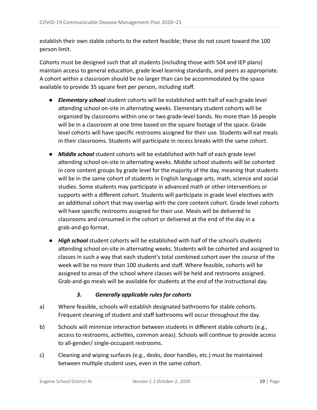establish their own stable cohorts to the extent feasible; these do not count toward the 100 person limit.

Cohorts must be designed such that all students (including those with 504 and IEP plans) maintain access to general education, grade level learning standards, and peers as appropriate. A cohort within a classroom should be no larger than can be accommodated by the space available to provide 35 square feet per person, including staff.

- *Elementary school* student cohorts will be established with half of each grade level attending school on-site in alternating weeks. Elementary student cohorts will be organized by classrooms within one or two grade-level bands. No more than 16 people will be in a classroom at one time based on the square footage of the space. Grade level cohorts will have specific restrooms assigned for their use. Students will eat meals in their classrooms. Students will participate in recess breaks with the same cohort.
- *Middle school* student cohorts will be established with half of each grade level attending school on-site in alternating weeks. Middle school students will be cohorted in core content groups by grade level for the majority of the day, meaning that students will be in the same cohort of students in English language arts, math, science and social studies. Some students may participate in advanced math or other interventions or supports with a different cohort. Students will participate in grade level electives with an additional cohort that may overlap with the core content cohort. Grade level cohorts will have specific restrooms assigned for their use. Meals will be delivered to classrooms and consumed in the cohort or delivered at the end of the day in a grab-and-go format.
- *High school* student cohorts will be established with half of the school's students attending school on-site in alternating weeks. Students will be cohorted and assigned to classes in such a way that each student's total combined cohort over the course of the week will be no more than 100 students and staff. Where feasible, cohorts will be assigned to areas of the school where classes will be held and restrooms assigned. Grab-and-go meals will be available for students at the end of the instructional day.

#### *3. Generally applicable rules for cohorts*

- a) Where feasible, schools will establish designated bathrooms for stable cohorts. Frequent cleaning of student and staff bathrooms will occur throughout the day.
- b) Schools will minimize interaction between students in different stable cohorts (e.g., access to restrooms, activities, common areas). Schools will continue to provide access to all-gender/ single-occupant restrooms.
- c) Cleaning and wiping surfaces (e.g., desks, door handles, etc.) must be maintained between multiple student uses, even in the same cohort.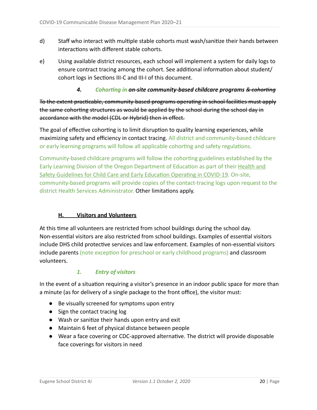- d) Staff who interact with multiple stable cohorts must wash/sanitize their hands between interactions with different stable cohorts.
- e) Using available district resources, each school will implement a system for daily logs to ensure contract tracing among the cohort. See additional information about student/ cohort logs in Sections III-C and III-I of this document.

#### **4.** Cohorting in on-site community-based childcare programs  $\&$  cohorting

To the extent practicable, community-based programs operating in school facilities must apply the same cohorting structures as would be applied by the school during the school day in accordance with the model (CDL or Hybrid) then in effect.

The goal of effective cohorting is to limit disruption to quality learning experiences, while maximizing safety and efficiency in contact tracing. All district and community-based childcare or early learning programs will follow all applicable cohorting and safety regulations.

Community-based childcare programs will follow the cohorting guidelines established by the Early Learning Division of the Oregon Department of Education as part of their Health and Safety Guidelines for Child Care and Early Education Operating in COVID-19. On-site, community-based programs will provide copies of the contact-tracing logs upon request to the district Health Services Administrator. Other limitations apply.

#### **H. Visitors and Volunteers**

At this time all volunteers are restricted from school buildings during the school day. Non-essential visitors are also restricted from school buildings. Examples of essential visitors include DHS child protective services and law enforcement. Examples of non-essential visitors include parents (note exception for preschool or early childhood programs) and classroom volunteers.

#### *1. Entry of visitors*

In the event of a situation requiring a visitor's presence in an indoor public space for more than a minute (as for delivery of a single package to the front office), the visitor must:

- Be visually screened for symptoms upon entry
- Sign the contact tracing log
- Wash or sanitize their hands upon entry and exit
- Maintain 6 feet of physical distance between people
- Wear a face covering or CDC-approved alternative. The district will provide disposable face coverings for visitors in need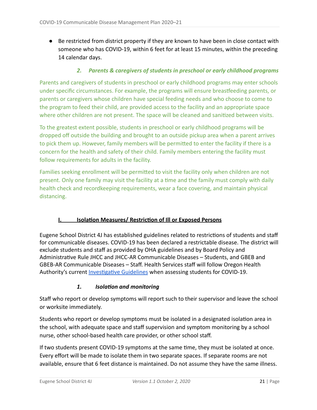● Be restricted from district property if they are known to have been in close contact with someone who has COVID-19, within 6 feet for at least 15 minutes, within the preceding 14 calendar days.

#### *2. Parents & caregivers of students in preschool or early childhood programs*

Parents and caregivers of students in preschool or early childhood programs may enter schools under specific circumstances. For example, the programs will ensure breastfeeding parents, or parents or caregivers whose children have special feeding needs and who choose to come to the program to feed their child, are provided access to the facility and an appropriate space where other children are not present. The space will be cleaned and sanitized between visits.

To the greatest extent possible, students in preschool or early childhood programs will be dropped off outside the building and brought to an outside pickup area when a parent arrives to pick them up. However, family members will be permitted to enter the facility if there is a concern for the health and safety of their child. Family members entering the facility must follow requirements for adults in the facility.

Families seeking enrollment will be permitted to visit the facility only when children are not present. Only one family may visit the facility at a time and the family must comply with daily health check and recordkeeping requirements, wear a face covering, and maintain physical distancing.

#### **I. Solation Measures/ Restriction of Ill or Exposed Persons**

Eugene School District 4J has established guidelines related to restrictions of students and staff for communicable diseases. COVID-19 has been declared a restrictable disease. The district will exclude students and staff as provided by OHA guidelines and by Board Policy and Administrative Rule JHCC and JHCC-AR Communicable Diseases - Students, and GBEB and GBEB-AR Communicable Diseases – Staff. Health Services staff will follow Oregon Health Authority's current **Investigative Guidelines** when assessing students for COVID-19.

#### **1.** Isolation and monitoring

Staff who report or develop symptoms will report such to their supervisor and leave the school or worksite immediately.

Students who report or develop symptoms must be isolated in a designated isolation area in the school, with adequate space and staff supervision and symptom monitoring by a school nurse, other school-based health care provider, or other school staff.

If two students present COVID-19 symptoms at the same time, they must be isolated at once. Every effort will be made to isolate them in two separate spaces. If separate rooms are not available, ensure that 6 feet distance is maintained. Do not assume they have the same illness.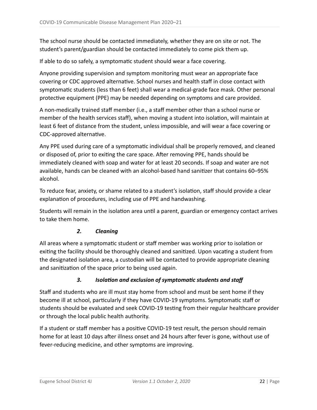The school nurse should be contacted immediately, whether they are on site or not. The student's parent/guardian should be contacted immediately to come pick them up.

If able to do so safely, a symptomatic student should wear a face covering.

Anyone providing supervision and symptom monitoring must wear an appropriate face covering or CDC approved alternative. School nurses and health staff in close contact with symptomatic students (less than 6 feet) shall wear a medical-grade face mask. Other personal protective equipment (PPE) may be needed depending on symptoms and care provided.

A non-medically trained staff member (i.e., a staff member other than a school nurse or member of the health services staff), when moving a student into isolation, will maintain at least 6 feet of distance from the student, unless impossible, and will wear a face covering or CDC-approved alternative.

Any PPE used during care of a symptomatic individual shall be properly removed, and cleaned or disposed of, prior to exiting the care space. After removing PPE, hands should be immediately cleaned with soap and water for at least 20 seconds. If soap and water are not available, hands can be cleaned with an alcohol-based hand sanitizer that contains 60-95% alcohol.

To reduce fear, anxiety, or shame related to a student's isolation, staff should provide a clear explanation of procedures, including use of PPE and handwashing.

Students will remain in the isolation area until a parent, guardian or emergency contact arrives to take them home.

#### *2. Cleaning*

All areas where a symptomatic student or staff member was working prior to isolation or exiting the facility should be thoroughly cleaned and sanitized. Upon vacating a student from the designated isolation area, a custodian will be contacted to provide appropriate cleaning and sanitization of the space prior to being used again.

#### 3. Isolation and exclusion of symptomatic students and staff

Staff and students who are ill must stay home from school and must be sent home if they become ill at school, particularly if they have COVID-19 symptoms. Symptomatic staff or students should be evaluated and seek COVID-19 testing from their regular healthcare provider or through the local public health authority.

If a student or staff member has a positive COVID-19 test result, the person should remain home for at least 10 days after illness onset and 24 hours after fever is gone, without use of fever-reducing medicine, and other symptoms are improving.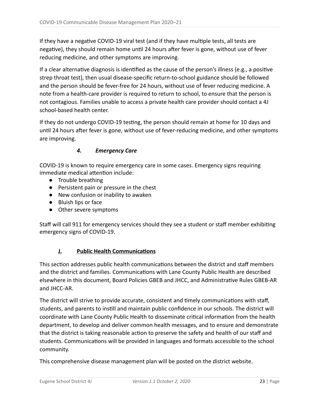If they have a negative COVID-19 viral test (and if they have multiple tests, all tests are negative), they should remain home until 24 hours after fever is gone, without use of fever reducing medicine, and other symptoms are improving.

If a clear alternative diagnosis is identified as the cause of the person's illness (e.g., a positive strep throat test), then usual disease-specific return-to-school guidance should be followed and the person should be fever-free for 24 hours, without use of fever reducing medicine. A note from a health-care provider is required to return to school, to ensure that the person is not contagious. Families unable to access a private health care provider should contact a 4J school-based health center.

If they do not undergo COVID-19 testing, the person should remain at home for 10 days and until 24 hours after fever is gone, without use of fever-reducing medicine, and other symptoms are improving.

#### *4. Emergency Care*

COVID-19 is known to require emergency care in some cases. Emergency signs requiring immediate medical attention include:

- Trouble breathing
- Persistent pain or pressure in the chest
- New confusion or inability to awaken
- Bluish lips or face
- Other severe symptoms

Staff will call 911 for emergency services should they see a student or staff member exhibiting emergency signs of COVID-19.

#### **J. Public Health Communications**

This section addresses public health communications between the district and staff members and the district and families. Communications with Lane County Public Health are described elsewhere in this document, Board Policies GBEB and JHCC, and Administrative Rules GBEB-AR and JHCC-AR.

The district will strive to provide accurate, consistent and timely communications with staff, students, and parents to instill and maintain public confidence in our schools. The district will coordinate with Lane County Public Health to disseminate critical information from the health department, to develop and deliver common health messages, and to ensure and demonstrate that the district is taking reasonable action to preserve the safety and health of our staff and students. Communications will be provided in languages and formats accessible to the school community.

This comprehensive disease management plan will be posted on the district website.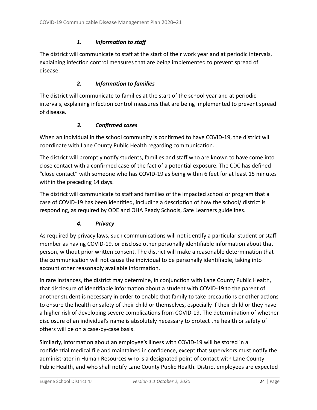#### 1. Information to staff

The district will communicate to staff at the start of their work year and at periodic intervals, explaining infection control measures that are being implemented to prevent spread of disease.

#### **2.** Information to families

The district will communicate to families at the start of the school year and at periodic intervals, explaining infection control measures that are being implemented to prevent spread of disease.

#### *3. Confirmed cases*

When an individual in the school community is confirmed to have COVID-19, the district will coordinate with Lane County Public Health regarding communication.

The district will promptly notify students, families and staff who are known to have come into close contact with a confirmed case of the fact of a potential exposure. The CDC has defined "close contact" with someone who has COVID-19 as being within 6 feet for at least 15 minutes within the preceding 14 days.

The district will communicate to staff and families of the impacted school or program that a case of COVID-19 has been identified, including a description of how the school/ district is responding, as required by ODE and OHA Ready Schools, Safe Learners guidelines.

#### *4. Privacy*

As required by privacy laws, such communications will not identify a particular student or staff member as having COVID-19, or disclose other personally identifiable information about that person, without prior written consent. The district will make a reasonable determination that the communication will not cause the individual to be personally identifiable, taking into account other reasonably available information.

In rare instances, the district may determine, in conjunction with Lane County Public Health, that disclosure of identifiable information about a student with COVID-19 to the parent of another student is necessary in order to enable that family to take precautions or other actions to ensure the health or safety of their child or themselves, especially if their child or they have a higher risk of developing severe complications from COVID-19. The determination of whether disclosure of an individual's name is absolutely necessary to protect the health or safety of others will be on a case-by-case basis.

Similarly, information about an employee's illness with COVID-19 will be stored in a confidential medical file and maintained in confidence, except that supervisors must notify the administrator in Human Resources who is a designated point of contact with Lane County Public Health, and who shall notify Lane County Public Health. District employees are expected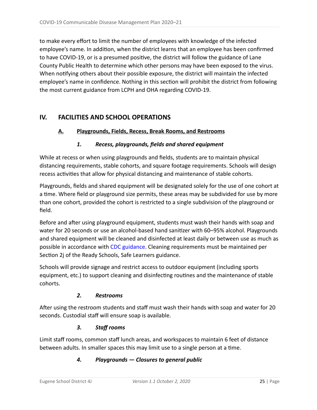to make every effort to limit the number of employees with knowledge of the infected employee's name. In addition, when the district learns that an employee has been confirmed to have COVID-19, or is a presumed positive, the district will follow the guidance of Lane County Public Health to determine which other persons may have been exposed to the virus. When notifying others about their possible exposure, the district will maintain the infected employee's name in confidence. Nothing in this section will prohibit the district from following the most current guidance from LCPH and OHA regarding COVID-19.

## <span id="page-24-0"></span>**IV. FACILITIES AND SCHOOL OPERATIONS**

#### **A. Playgrounds, Fields, Recess, Break Rooms, and Restrooms**

#### *1. Recess, playgrounds, fields and shared equipment*

While at recess or when using playgrounds and fields, students are to maintain physical distancing requirements, stable cohorts, and square footage requirements. Schools will design recess activities that allow for physical distancing and maintenance of stable cohorts.

Playgrounds, fields and shared equipment will be designated solely for the use of one cohort at a time. Where field or playground size permits, these areas may be subdivided for use by more than one cohort, provided the cohort is restricted to a single subdivision of the playground or field.

Before and after using playground equipment, students must wash their hands with soap and water for 20 seconds or use an alcohol-based hand sanitizer with 60-95% alcohol. Playgrounds and shared equipment will be cleaned and disinfected at least daily or between use as much as possible in accordance with CDC guidance. Cleaning requirements must be maintained per Section 2j of the Ready Schools, Safe Learners guidance.

Schools will provide signage and restrict access to outdoor equipment (including sports equipment, etc.) to support cleaning and disinfecting routines and the maintenance of stable cohorts.

#### *2. Restrooms*

After using the restroom students and staff must wash their hands with soap and water for 20 seconds. Custodial staff will ensure soap is available.

#### *3. Staff rooms*

Limit staff rooms, common staff lunch areas, and workspaces to maintain 6 feet of distance between adults. In smaller spaces this may limit use to a single person at a time.

#### *4. Playgrounds — Closures to general public*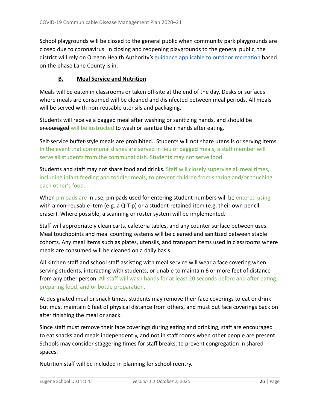School playgrounds will be closed to the general public when community park playgrounds are closed due to coronavirus. In closing and reopening playgrounds to the general public, the district will rely on Oregon Health Authority's guidance applicable to outdoor recreation based on the phase Lane County is in.

#### **B.** Meal Service and Nutrition

Meals will be eaten in classrooms or taken off-site at the end of the day. Desks or surfaces where meals are consumed will be cleaned and disinfected between meal periods. All meals will be served with non-reusable utensils and packaging.

Students will receive a bagged meal after washing or sanitizing hands, and should be encouraged will be instructed to wash or sanitize their hands after eating.

Self-service buffet-style meals are prohibited. Students will not share utensils or serving items. In the event that communal dishes are served in lieu of bagged meals, a staff member will serve all students from the communal dish. Students may not serve food.

Students and staff may not share food and drinks. Staff will closely supervise all meal times, including infant feeding and toddler meals, to prevent children from sharing and/or touching each other's food.

When pin pads are in use, pin pads used for entering student numbers will be entered using with a non-reusable item (e.g. a Q-Tip) or a student-retained item (e.g. their own pencil eraser). Where possible, a scanning or roster system will be implemented.

Staff will appropriately clean carts, cafeteria tables, and any counter surface between uses. Meal touchpoints and meal counting systems will be cleaned and sanitized between stable cohorts. Any meal items such as plates, utensils, and transport items used in classrooms where meals are consumed will be cleaned on a daily basis.

All kitchen staff and school staff assisting with meal service will wear a face covering when serving students, interacting with students, or unable to maintain 6 or more feet of distance from any other person. All staff will wash hands for at least 20 seconds before and after eating, preparing food, and or bottle preparation.

At designated meal or snack times, students may remove their face coverings to eat or drink but must maintain 6 feet of physical distance from others, and must put face coverings back on after finishing the meal or snack.

Since staff must remove their face coverings during eating and drinking, staff are encouraged to eat snacks and meals independently, and not in staff rooms when other people are present. Schools may consider staggering times for staff breaks, to prevent congregation in shared spaces.

Nutrition staff will be included in planning for school reentry.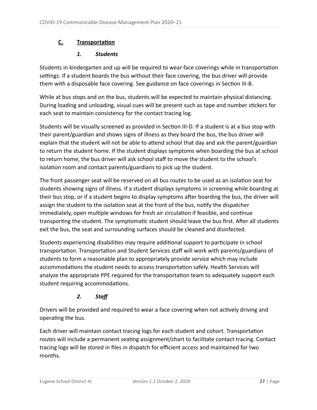## **C.** Transportation

#### *1. Students*

Students in kindergarten and up will be required to wear face coverings while in transportation settings. If a student boards the bus without their face covering, the bus driver will provide them with a disposable face covering. See guidance on face coverings in Section III-B.

While at bus stops and on the bus, students will be expected to maintain physical distancing. During loading and unloading, visual cues will be present such as tape and number stickers for each seat to maintain consistency for the contact tracing log.

Students will be visually screened as provided in Section III-D. If a student is at a bus stop with their parent/guardian and shows signs of illness as they board the bus, the bus driver will explain that the student will not be able to attend school that day and ask the parent/guardian to return the student home. If the student displays symptoms when boarding the bus at school to return home, the bus driver will ask school staff to move the student to the school's isolation room and contact parents/guardians to pick up the student.

The front passenger seat will be reserved on all bus routes to be used as an isolation seat for students showing signs of illness. If a student displays symptoms in screening while boarding at their bus stop, or if a student begins to display symptoms after boarding the bus, the driver will assign the student to the isolation seat at the front of the bus, notify the dispatcher immediately, open multiple windows for fresh air circulation if feasible, and continue transporting the student. The symptomatic student should leave the bus first. After all students exit the bus, the seat and surrounding surfaces should be cleaned and disinfected.

Students experiencing disabilities may require additional support to participate in school transportation. Transportation and Student Services staff will work with parents/guardians of students to form a reasonable plan to appropriately provide service which may include accommodations the student needs to access transportation safely. Health Services will analyze the appropriate PPE required for the transportation team to adequately support each student requiring accommodations.

## *2. Staff*

Drivers will be provided and required to wear a face covering when not actively driving and operating the bus.

Each driver will maintain contact tracing logs for each student and cohort. Transportation routes will include a permanent seating assignment/chart to facilitate contact tracing. Contact tracing logs will be stored in files in dispatch for efficient access and maintained for two months.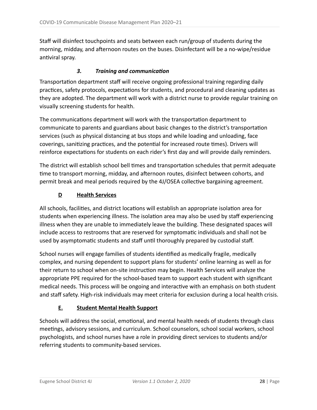Staff will disinfect touchpoints and seats between each run/group of students during the morning, midday, and afternoon routes on the buses. Disinfectant will be a no-wipe/residue antiviral spray.

#### **3.** Training and communication

Transportation department staff will receive ongoing professional training regarding daily practices, safety protocols, expectations for students, and procedural and cleaning updates as they are adopted. The department will work with a district nurse to provide regular training on visually screening students for health.

The communications department will work with the transportation department to communicate to parents and guardians about basic changes to the district's transportation services (such as physical distancing at bus stops and while loading and unloading, face coverings, sanitizing practices, and the potential for increased route times). Drivers will reinforce expectations for students on each rider's first day and will provide daily reminders.

The district will establish school bell times and transportation schedules that permit adequate time to transport morning, midday, and afternoon routes, disinfect between cohorts, and permit break and meal periods required by the 4J/OSEA collective bargaining agreement.

#### **D Health Services**

All schools, facilities, and district locations will establish an appropriate isolation area for students when experiencing illness. The isolation area may also be used by staff experiencing illness when they are unable to immediately leave the building. These designated spaces will include access to restrooms that are reserved for symptomatic individuals and shall not be used by asymptomatic students and staff until thoroughly prepared by custodial staff.

School nurses will engage families of students idenfied as medically fragile, medically complex, and nursing dependent to support plans for students' online learning as well as for their return to school when on-site instruction may begin. Health Services will analyze the appropriate PPE required for the school-based team to support each student with significant medical needs. This process will be ongoing and interactive with an emphasis on both student and staff safety. High-risk individuals may meet criteria for exclusion during a local health crisis.

#### **E. Student Mental Health Support**

Schools will address the social, emotional, and mental health needs of students through class meetings, advisory sessions, and curriculum. School counselors, school social workers, school psychologists, and school nurses have a role in providing direct services to students and/or referring students to community-based services.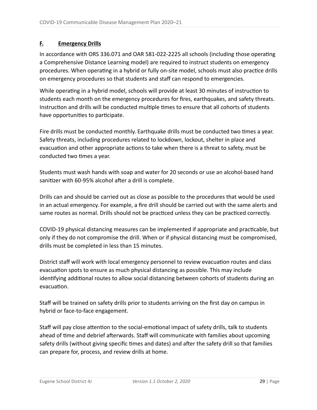#### **F. Emergency Drills**

In accordance with ORS 336.071 and OAR 581-022-2225 all schools (including those operating a Comprehensive Distance Learning model) are required to instruct students on emergency procedures. When operating in a hybrid or fully on-site model, schools must also practice drills on emergency procedures so that students and staff can respond to emergencies.

While operating in a hybrid model, schools will provide at least 30 minutes of instruction to students each month on the emergency procedures for fires, earthquakes, and safety threats. Instruction and drills will be conducted multiple times to ensure that all cohorts of students have opportunities to participate.

Fire drills must be conducted monthly. Earthquake drills must be conducted two times a year. Safety threats, including procedures related to lockdown, lockout, shelter in place and evacuation and other appropriate actions to take when there is a threat to safety, must be conducted two times a year.

Students must wash hands with soap and water for 20 seconds or use an alcohol-based hand sanitizer with 60-95% alcohol after a drill is complete.

Drills can and should be carried out as close as possible to the procedures that would be used in an actual emergency. For example, a fire drill should be carried out with the same alerts and same routes as normal. Drills should not be practiced unless they can be practiced correctly.

COVID-19 physical distancing measures can be implemented if appropriate and practicable, but only if they do not compromise the drill. When or if physical distancing must be compromised, drills must be completed in less than 15 minutes.

District staff will work with local emergency personnel to review evacuation routes and class evacuation spots to ensure as much physical distancing as possible. This may include identifying additional routes to allow social distancing between cohorts of students during an evacuation.

Staff will be trained on safety drills prior to students arriving on the first day on campus in hybrid or face-to-face engagement.

Staff will pay close attention to the social-emotional impact of safety drills, talk to students ahead of time and debrief afterwards. Staff will communicate with families about upcoming safety drills (without giving specific times and dates) and after the safety drill so that families can prepare for, process, and review drills at home.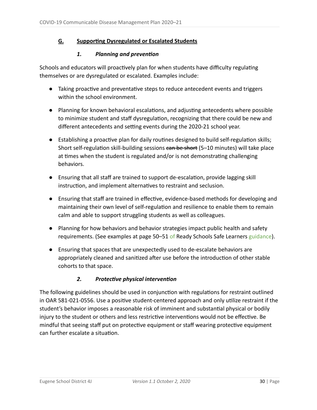## **<u>G.</u> Supporting Dysregulated or Escalated Students</u>**

#### **1.** Planning and prevention

Schools and educators will proactively plan for when students have difficulty regulating themselves or are dysregulated or escalated. Examples include:

- Taking proactive and preventative steps to reduce antecedent events and triggers within the school environment.
- Planning for known behavioral escalations, and adjusting antecedents where possible to minimize student and staff dysregulation, recognizing that there could be new and different antecedents and setting events during the 2020-21 school year.
- $\bullet$  Establishing a proactive plan for daily routines designed to build self-regulation skills; Short self-regulation skill-building sessions can be short (5-10 minutes) will take place at times when the student is regulated and/or is not demonstrating challenging behaviors.
- Ensuring that all staff are trained to support de-escalation, provide lagging skill instruction, and implement alternatives to restraint and seclusion.
- Ensuring that staff are trained in effective, evidence-based methods for developing and maintaining their own level of self-regulation and resilience to enable them to remain calm and able to support struggling students as well as colleagues.
- Planning for how behaviors and behavior strategies impact public health and safety requirements. (See examples at page 50–51 of Ready Schools Safe Learners guidance).
- Ensuring that spaces that are unexpectedly used to de-escalate behaviors are appropriately cleaned and sanitized after use before the introduction of other stable cohorts to that space.

## **2.** Protective physical intervention

The following guidelines should be used in conjunction with regulations for restraint outlined in OAR 581-021-0556. Use a positive student-centered approach and only utilize restraint if the student's behavior imposes a reasonable risk of imminent and substantial physical or bodily injury to the student or others and less restrictive interventions would not be effective. Be mindful that seeing staff put on protective equipment or staff wearing protective equipment can further escalate a situation.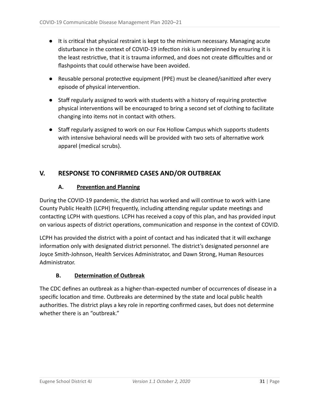- It is critical that physical restraint is kept to the minimum necessary. Managing acute disturbance in the context of COVID-19 infection risk is underpinned by ensuring it is the least restrictive, that it is trauma informed, and does not create difficulties and or flashpoints that could otherwise have been avoided.
- Reusable personal protective equipment (PPE) must be cleaned/sanitized after every episode of physical intervention.
- Staff regularly assigned to work with students with a history of requiring protective physical interventions will be encouraged to bring a second set of clothing to facilitate changing into items not in contact with others.
- Staff regularly assigned to work on our Fox Hollow Campus which supports students with intensive behavioral needs will be provided with two sets of alternative work apparel (medical scrubs).

## **V. RESPONSE TO CONFIRMED CASES AND/OR OUTBREAK**

## **A.** Prevention and Planning

During the COVID-19 pandemic, the district has worked and will continue to work with Lane County Public Health (LCPH) frequently, including attending regular update meetings and contacting LCPH with questions. LCPH has received a copy of this plan, and has provided input on various aspects of district operations, communication and response in the context of COVID.

LCPH has provided the district with a point of contact and has indicated that it will exchange information only with designated district personnel. The district's designated personnel are Joyce Smith-Johnson, Health Services Administrator, and Dawn Strong, Human Resources Administrator.

#### **B.** Determination of Outbreak

The CDC defines an outbreak as a higher-than-expected number of occurrences of disease in a specific location and time. Outbreaks are determined by the state and local public health authorities. The district plays a key role in reporting confirmed cases, but does not determine whether there is an "outbreak."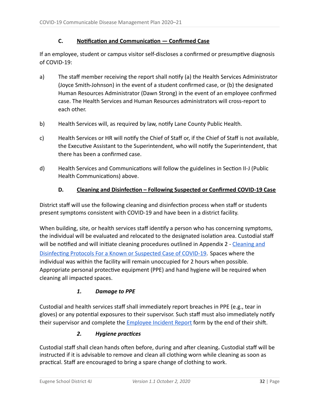#### **C.** Notification and Communication — Confirmed Case

If an employee, student or campus visitor self-discloses a confirmed or presumptive diagnosis of COVID-19:

- a) The staff member receiving the report shall notify (a) the Health Services Administrator (Joyce Smith-Johnson) in the event of a student confirmed case, or (b) the designated Human Resources Administrator (Dawn Strong) in the event of an employee confirmed case. The Health Services and Human Resources administrators will cross-report to each other.
- b) Health Services will, as required by law, notify Lane County Public Health.
- c) Health Services or HR will notify the Chief of Staff or, if the Chief of Staff is not available, the Executive Assistant to the Superintendent, who will notify the Superintendent, that there has been a confirmed case.
- d) Health Services and Communications will follow the guidelines in Section II-J (Public Health Communications) above.

#### **D.** Cleaning and Disinfection – Following Suspected or Confirmed COVID-19 Case

District staff will use the following cleaning and disinfection process when staff or students present symptoms consistent with COVID-19 and have been in a district facility.

When building, site, or health services staff identify a person who has concerning symptoms, the individual will be evaluated and relocated to the designated isolation area. Custodial staff will be notified and will initiate cleaning procedures outlined in Appendix 2 - Cleaning and Disinfecting Protocols For a Known or Suspected Case of COVID-19. Spaces where the individual was within the facility will remain unoccupied for 2 hours when possible. Appropriate personal protective equipment (PPE) and hand hygiene will be required when cleaning all impacted spaces.

#### *1. Damage to PPE*

Custodial and health services staff shall immediately report breaches in PPE (e.g., tear in gloves) or any potential exposures to their supervisor. Such staff must also immediately notify their supervisor and complete the **Employee Incident Report** form by the end of their shift.

#### **2.** Hygiene practices

Custodial staff shall clean hands often before, during and after cleaning. Custodial staff will be instructed if it is advisable to remove and clean all clothing worn while cleaning as soon as practical. Staff are encouraged to bring a spare change of clothing to work.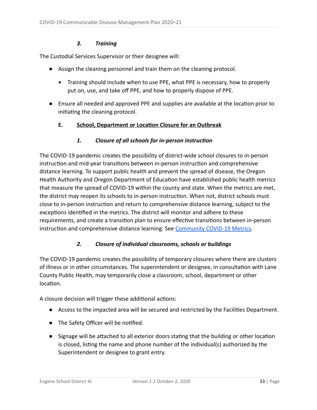#### *3. Training*

The Custodial Services Supervisor or their designee will:

- Assign the cleaning personnel and train them on the cleaning protocol.
	- **EXED Training should include when to use PPE, what PPE is necessary, how to properly** put on, use, and take off PPE, and how to properly dispose of PPE.
- Ensure all needed and approved PPE and supplies are available at the location prior to initiating the cleaning protocol.

#### **E.** School, Department or Location Closure for an Outbreak

#### 1. Closure of all schools for in-person instruction

The COVID-19 pandemic creates the possibility of district-wide school closures to in-person instruction and mid-year transitions between in-person instruction and comprehensive distance learning. To support public health and prevent the spread of disease, the Oregon Health Authority and Oregon Department of Education have established public health metrics that measure the spread of COVID-19 within the county and state. When the metrics are met, the district may reopen its schools to in-person instruction. When not, district schools must close to in-person instruction and return to comprehensive distance learning, subject to the exceptions identified in the metrics. The district will monitor and adhere to these requirements, and create a transition plan to ensure effective transitions between in-person instruction and comprehensive distance learning. See Community COVID-19 Metrics.

#### *2. Closure of individual classrooms, schools or buildings*

The COVID-19 pandemic creates the possibility of temporary closures where there are clusters of illness or in other circumstances. The superintendent or designee, in consultation with Lane County Public Health, may temporarily close a classroom, school, department or other location

A closure decision will trigger these additional actions:

- Access to the impacted area will be secured and restricted by the Facilities Department.
- The Safety Officer will be notified.
- $\bullet$  Signage will be attached to all exterior doors stating that the building or other location is closed, listing the name and phone number of the individual(s) authorized by the Superintendent or designee to grant entry.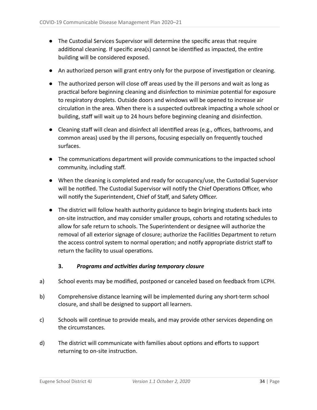- The Custodial Services Supervisor will determine the specific areas that require additional cleaning. If specific area(s) cannot be identified as impacted, the entire building will be considered exposed.
- An authorized person will grant entry only for the purpose of investigation or cleaning.
- The authorized person will close off areas used by the ill persons and wait as long as practical before beginning cleaning and disinfection to minimize potential for exposure to respiratory droplets. Outside doors and windows will be opened to increase air circulation in the area. When there is a suspected outbreak impacting a whole school or building, staff will wait up to 24 hours before beginning cleaning and disinfection.
- Cleaning staff will clean and disinfect all identified areas (e.g., offices, bathrooms, and common areas) used by the ill persons, focusing especially on frequently touched surfaces.
- The communications department will provide communications to the impacted school community, including staff.
- When the cleaning is completed and ready for occupancy/use, the Custodial Supervisor will be notified. The Custodial Supervisor will notify the Chief Operations Officer, who will notify the Superintendent, Chief of Staff, and Safety Officer.
- The district will follow health authority guidance to begin bringing students back into on-site instruction, and may consider smaller groups, cohorts and rotating schedules to allow for safe return to schools. The Superintendent or designee will authorize the removal of all exterior signage of closure; authorize the Facilities Department to return the access control system to normal operation; and notify appropriate district staff to return the facility to usual operations.

#### **3.** Programs and activities during temporary closure

- a) School events may be modified, postponed or canceled based on feedback from LCPH.
- b) Comprehensive distance learning will be implemented during any short-term school closure, and shall be designed to support all learners.
- c) Schools will continue to provide meals, and may provide other services depending on the circumstances.
- d) The district will communicate with families about options and efforts to support returning to on-site instruction.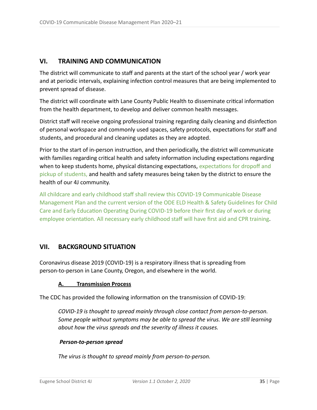## **VI. TRAINING AND COMMUNICATION**

The district will communicate to staff and parents at the start of the school year / work year and at periodic intervals, explaining infection control measures that are being implemented to prevent spread of disease.

The district will coordinate with Lane County Public Health to disseminate critical information from the health department, to develop and deliver common health messages.

District staff will receive ongoing professional training regarding daily cleaning and disinfection of personal workspace and commonly used spaces, safety protocols, expectations for staff and students, and procedural and cleaning updates as they are adopted.

Prior to the start of in-person instruction, and then periodically, the district will communicate with families regarding critical health and safety information including expectations regarding when to keep students home, physical distancing expectations, expectations for dropoff and pickup of students, and health and safety measures being taken by the district to ensure the health of our 4J community.

All childcare and early childhood staff shall review this COVID-19 Communicable Disease Management Plan and the current version of the ODE ELD Health & Safety Guidelines for Child Care and Early Education Operating During COVID-19 before their first day of work or during employee orientation. All necessary early childhood staff will have first aid and CPR training.

## <span id="page-34-0"></span>**VII. BACKGROUND SITUATION**

Coronavirus disease 2019 (COVID-19) is a respiratory illness that is spreading from person-to-person in Lane County, Oregon, and elsewhere in the world.

#### **A. Transmission Process**

The CDC has provided the following information on the transmission of COVID-19:

*COVID-19 is thought to spread mainly through close contact from person-to-person. Some people without symptoms may be able to spread the virus. We are still learning about how the virus spreads and the severity of illness it causes.* 

#### *Person-to-person spread*

*The virus is thought to spread mainly from person-to-person.*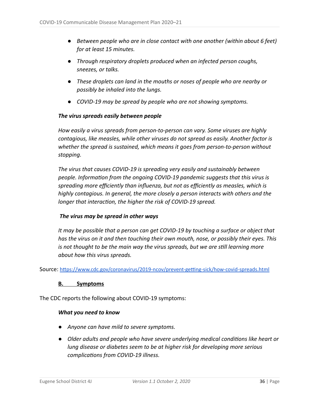- Between people who are in close contact with one another (within about 6 feet) *for at least 15 minutes.*
- *● Through respiratory droplets produced when an infected person coughs, sneezes, or talks.*
- *● These droplets can land in the mouths or noses of people who are nearby or possibly be inhaled into the lungs.*
- *● COVID-19 may be spread by people who are not showing symptoms.*

#### *The virus spreads easily between people*

*How easily a virus spreads from person-to-person can vary. Some viruses are highly contagious, like measles, while other viruses do not spread as easily. Another factor is whether the spread is sustained, which means it goes from person-to-person without stopping.* 

*The virus that causes COVID-19 is spreading very easily and sustainably between people. Information from the ongoing COVID-19 pandemic suggests that this virus is spreading more efficiently than influenza, but not as efficiently as measles, which is highly contagious. In general, the more closely a person interacts with others and the longer that interaction, the higher the risk of COVID-19 spread.* 

#### *The virus may be spread in other ways*

*It may be possible that a person can get COVID-19 by touching a surface or object that has the virus on it and then touching their own mouth, nose, or possibly their eyes. This is not thought to be the main way the virus spreads, but we are sll learning more about how this virus spreads.* 

Source: https://www.cdc.gov/coronavirus/2019-ncov/prevent-getting-sick/how-covid-spreads.html

#### **B. Symptoms**

The CDC reports the following about COVID-19 symptoms:

#### *What you need to know*

- *● Anyone can have mild to severe symptoms.*
- *Older adults and people who have severe underlying medical conditions like heart or lung disease or diabetes seem to be at higher risk for developing more serious complications from COVID-19 illness.*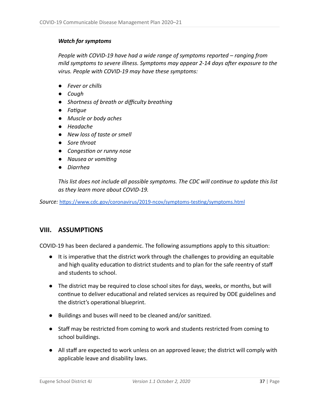#### *Watch for symptoms*

*People with COVID-19 have had a wide range of symptoms reported – ranging from mild symptoms to severe illness. Symptoms may appear 2-14 days after exposure to the virus. People with COVID-19 may have these symptoms:* 

- *● Fever or chills*
- *● Cough*
- *● Shortness of breath or difficulty breathing*
- *● Fague*
- *● Muscle or body aches*
- *● Headache*
- *● New loss of taste or smell*
- *● Sore throat*
- *Congestion or runny nose*
- **•** Nausea or vomiting
- *● Diarrhea*

*This list does not include all possible symptoms. The CDC will continue to update this list as they learn more about COVID-19.* 

Source: https://www.cdc.gov/coronavirus/2019-ncov/symptoms-testing/symptoms.html

## <span id="page-36-0"></span>**VIII. ASSUMPTIONS**

COVID-19 has been declared a pandemic. The following assumptions apply to this situation:

- $\bullet$  It is imperative that the district work through the challenges to providing an equitable and high quality education to district students and to plan for the safe reentry of staff and students to school.
- The district may be required to close school sites for days, weeks, or months, but will continue to deliver educational and related services as required by ODE guidelines and the district's operational blueprint.
- Buildings and buses will need to be cleaned and/or sanized.
- Staff may be restricted from coming to work and students restricted from coming to school buildings.
- All staff are expected to work unless on an approved leave; the district will comply with applicable leave and disability laws.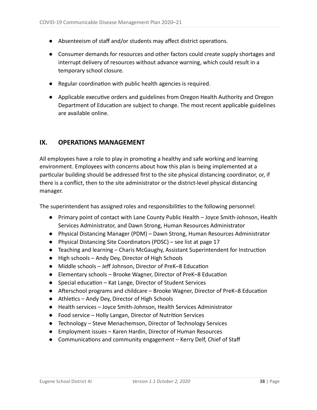- Absenteeism of staff and/or students may affect district operations.
- Consumer demands for resources and other factors could create supply shortages and interrupt delivery of resources without advance warning, which could result in a temporary school closure.
- Regular coordination with public health agencies is required.
- Applicable executive orders and guidelines from Oregon Health Authority and Oregon Department of Education are subject to change. The most recent applicable guidelines are available online.

## <span id="page-37-0"></span>**IX. OPERATIONS MANAGEMENT**

All employees have a role to play in promoting a healthy and safe working and learning environment. Employees with concerns about how this plan is being implemented at a particular building should be addressed first to the site physical distancing coordinator, or, if there is a conflict, then to the site administrator or the district-level physical distancing manager.

The superintendent has assigned roles and responsibilities to the following personnel:

- Primary point of contact with Lane County Public Health Joyce Smith-Johnson, Health Services Administrator, and Dawn Strong, Human Resources Administrator
- Physical Distancing Manager (PDM) Dawn Strong, Human Resources Administrator
- Physical Distancing Site Coordinators (PDSC) see list at page 17
- Teaching and learning Charis McGaughy, Assistant Superintendent for Instruction
- High schools Andy Dey, Director of High Schools
- Middle schools Jeff Johnson, Director of PreK-8 Education
- Elementary schools Brooke Wagner, Director of PreK–8 Education
- $\bullet$  Special education Kat Lange, Director of Student Services
- $\bullet$  Afterschool programs and childcare Brooke Wagner, Director of PreK–8 Education
- Athletics Andy Dey, Director of High Schools
- Health services Joyce Smith-Johnson, Health Services Administrator
- Food service Holly Langan, Director of Nutrition Services
- Technology Steve Menachemson, Director of Technology Services
- Employment issues Karen Hardin, Director of Human Resources
- Communications and community engagement Kerry Delf, Chief of Staff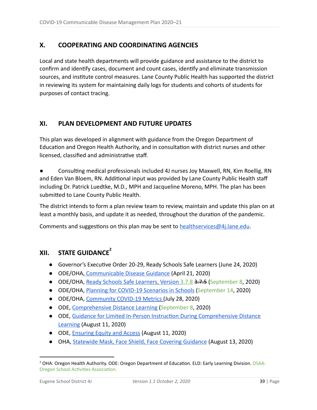## <span id="page-38-0"></span>**X. COOPERATING AND COORDINATING AGENCIES**

Local and state health departments will provide guidance and assistance to the district to confirm and identify cases, document and count cases, identify and eliminate transmission sources, and institute control measures. Lane County Public Health has supported the district in reviewing its system for maintaining daily logs for students and cohorts of students for purposes of contact tracing.

## **XI. PLAN DEVELOPMENT AND FUTURE UPDATES**

This plan was developed in alignment with guidance from the Oregon Department of Education and Oregon Health Authority, and in consultation with district nurses and other licensed, classified and administrative staff.

Consulting medical professionals included 4J nurses Joy Maxwell, RN, Kim Roellig, RN and Eden Van Bloem, RN. Additional input was provided by Lane County Public Health staff including Dr. Patrick Luedtke, M.D., MPH and Jacqueline Moreno, MPH. The plan has been submitted to Lane County Public Health.

The district intends to form a plan review team to review, maintain and update this plan on at least a monthly basis, and update it as needed, throughout the duration of the pandemic.

Comments and suggestions on this plan may be sent to healthservices  $@4$ . lane.edu.

## **XII. STATE GUIDANCE 2**

- Governor's Executive Order 20-29, Ready Schools Safe Learners (June 24, 2020)
- ODE/OHA, Communicable Disease Guidance (April 21, 2020)
- ODE/OHA, Ready Schools Safe Learners, Version 3.7.8 3.7.5 (September 8, 2020)
- ODE/OHA, *Planning for COVID-19 Scenarios in Schools* (September 14, 2020)
- ODE/OHA, Community COVID-19 Metrics (July 28, 2020)
- ODE, Comprehensive Distance Learning (September 8, 2020)
- ODE, Guidance for Limited In-Person Instruction During Comprehensive Distance Learning (August 11, 2020)
- ODE, **Ensuring Equity and Access** (August 11, 2020)
- OHA, Statewide Mask, Face Shield, Face Covering Guidance (August 13, 2020)

<sup>&</sup>lt;sup>2</sup> OHA: Oregon Health Authority. ODE: Oregon Department of Education. ELD: Early Learning Division. OSAA: Oregon School Activities Association.